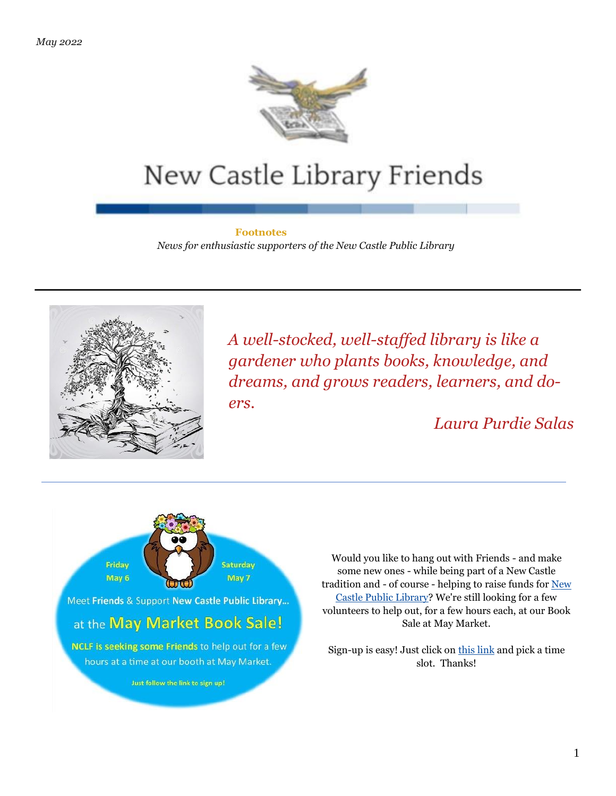

# New Castle Library Friends

#### **Footnotes**

*News for enthusiastic supporters of the New Castle Public Library*



*A well-stocked, well-staffed library is like a gardener who plants books, knowledge, and dreams, and grows readers, learners, and doers.*

*Laura Purdie Salas*



Would you like to hang out with Friends - and make some new ones - while being part of a New Castle tradition and - of course - helping to raise funds for [New](https://newcastlelibraryfriends.us8.list-manage.com/track/click?u=8e5143a157e5d23dca181d716&id=3369d27840&e=5dafbbfccf)  [Castle Public Library?](https://newcastlelibraryfriends.us8.list-manage.com/track/click?u=8e5143a157e5d23dca181d716&id=3369d27840&e=5dafbbfccf) We're still looking for a few volunteers to help out, for a few hours each, at our Book Sale at May Market.

Sign-up is easy! Just click o[n this link](https://newcastlelibraryfriends.us8.list-manage.com/track/click?u=8e5143a157e5d23dca181d716&id=fba00b39ca&e=5dafbbfccf) and pick a time slot. Thanks!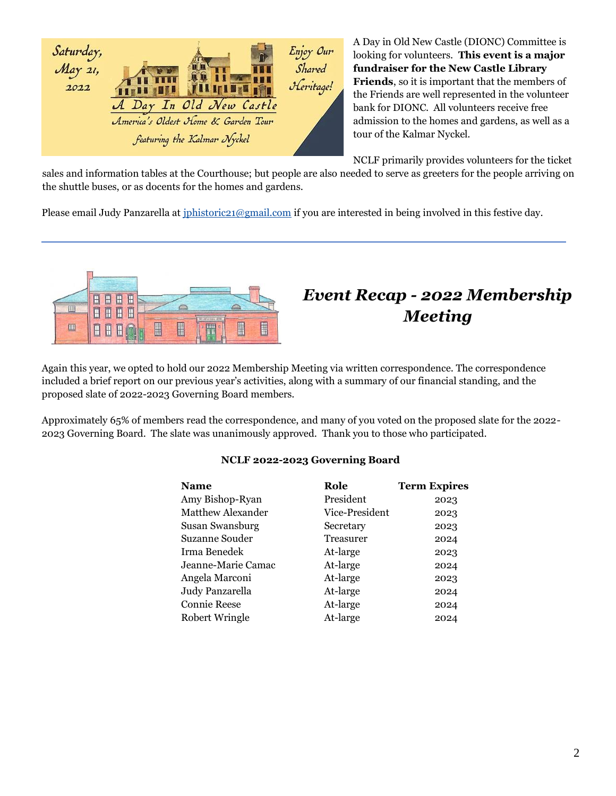

A Day in Old New Castle (DIONC) Committee is looking for volunteers. **This event is a major fundraiser for the New Castle Library Friends**, so it is important that the members of the Friends are well represented in the volunteer bank for DIONC. All volunteers receive free admission to the homes and gardens, as well as a tour of the Kalmar Nyckel.

NCLF primarily provides volunteers for the ticket

sales and information tables at the Courthouse; but people are also needed to serve as greeters for the people arriving on the shuttle buses, or as docents for the homes and gardens.

Please email Judy Panzarella at [jphistoric21@gmail.com](mailto:jphistoric21@gmail.com?subject=ADIONC%20Volunteer) if you are interested in being involved in this festive day.



# *Event Recap - 2022 Membership Meeting*

Again this year, we opted to hold our 2022 Membership Meeting via written correspondence. The correspondence included a brief report on our previous year's activities, along with a summary of our financial standing, and the proposed slate of 2022-2023 Governing Board members.

Approximately 65% of members read the correspondence, and many of you voted on the proposed slate for the 2022- 2023 Governing Board. The slate was unanimously approved. Thank you to those who participated.

## **NCLF 2022-2023 Governing Board**

| <b>Name</b>              | Role           | <b>Term Expires</b> |
|--------------------------|----------------|---------------------|
| Amy Bishop-Ryan          | President      | 2023                |
| <b>Matthew Alexander</b> | Vice-President | 2023                |
| Susan Swansburg          | Secretary      | 2023                |
| Suzanne Souder           | Treasurer      | 2024                |
| Irma Benedek             | At-large       | 2023                |
| Jeanne-Marie Camac       | At-large       | 2024                |
| Angela Marconi           | At-large       | 2023                |
| Judy Panzarella          | At-large       | 2024                |
| <b>Connie Reese</b>      | At-large       | 2024                |
| Robert Wringle           | At-large       | 2024                |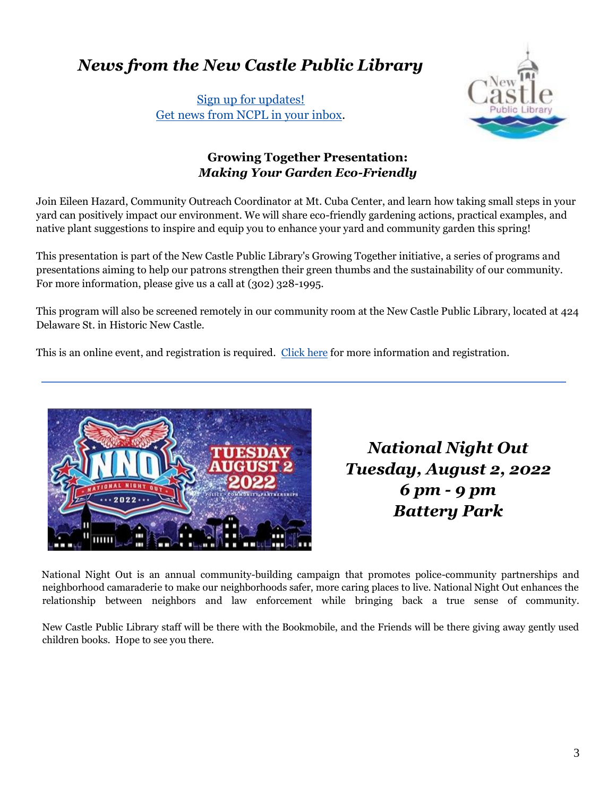# *News from the New Castle Public Library*

[Sign up for updates!](https://newcastlelibraryfriends.us8.list-manage.com/track/click?u=8e5143a157e5d23dca181d716&id=c3a99a1c86&e=5dafbbfccf) [Get news from NCPL in your inbox.](https://newcastlelibraryfriends.us8.list-manage.com/track/click?u=8e5143a157e5d23dca181d716&id=c3a99a1c86&e=5dafbbfccf)



## **Growing Together Presentation:** *Making Your Garden Eco-Friendly*

Join Eileen Hazard, Community Outreach Coordinator at Mt. Cuba Center, and learn how taking small steps in your yard can positively impact our environment. We will share eco-friendly gardening actions, practical examples, and native plant suggestions to inspire and equip you to enhance your yard and community garden this spring!

This presentation is part of the New Castle Public Library's Growing Together initiative, a series of programs and presentations aiming to help our patrons strengthen their green thumbs and the sustainability of our community. For more information, please give us a call at (302) 328-1995.

This program will also be screened remotely in our community room at the New Castle Public Library, located at 424 Delaware St. in Historic New Castle.

This is an online event, and registration is required. [Click here](https://newcastlelibraryfriends.us8.list-manage.com/track/click?u=8e5143a157e5d23dca181d716&id=cb72d44698&e=5dafbbfccf) for more information and registration.



*National Night Out Tuesday, August 2, 2022 6 pm - 9 pm Battery Park*

National Night Out is an annual community-building campaign that promotes police-community partnerships and neighborhood camaraderie to make our neighborhoods safer, more caring places to live. National Night Out enhances the relationship between neighbors and law enforcement while bringing back a true sense of community.

New Castle Public Library staff will be there with the Bookmobile, and the Friends will be there giving away gently used children books. Hope to see you there.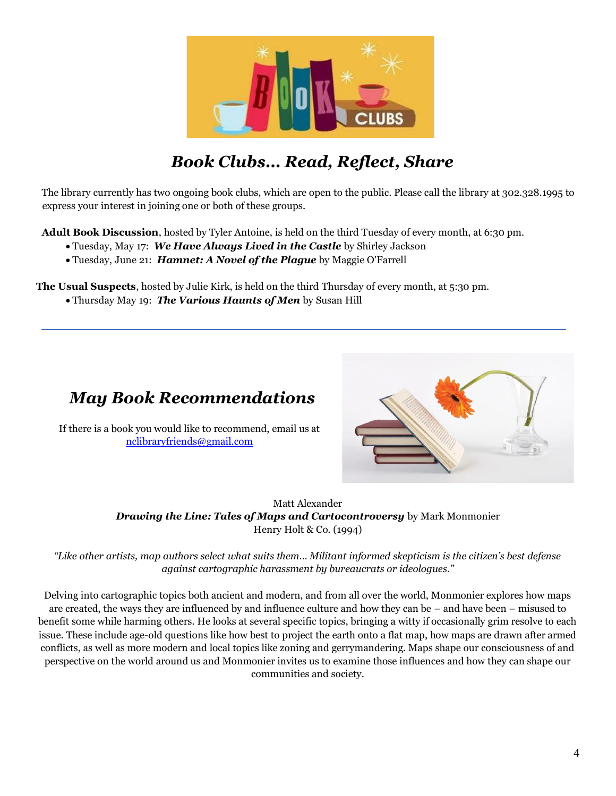

# *Book Clubs… Read, Reflect, Share*

The library currently has two ongoing book clubs, which are open to the public. Please call the library at 302.328.1995 to express your interest in joining one or both of these groups.

**Adult Book Discussion**, hosted by Tyler Antoine, is held on the third Tuesday of every month, at 6:30 pm.

- Tuesday, May 17: *We Have Always Lived in the Castle* by Shirley Jackson
- Tuesday, June 21: *Hamnet: A Novel of the Plague* by Maggie O'Farrell

**The Usual Suspects**, hosted by Julie Kirk, is held on the third Thursday of every month, at 5:30 pm.

• Thursday May 19: *The Various Haunts of Men* by Susan Hill

## *May Book Recommendations*

If there is a book you would like to recommend, email us at [nclibraryfriends@gmail.com](mailto:nclibraryfriends@gmail.com?subject=Book%20Recommendation)



Matt Alexander *Drawing the Line: Tales of Maps and Cartocontroversy* by Mark Monmonier Henry Holt & Co. (1994)

*"Like other artists, map authors select what suits them… Militant informed skepticism is the citizen's best defense against cartographic harassment by bureaucrats or ideologues."*

Delving into cartographic topics both ancient and modern, and from all over the world, Monmonier explores how maps are created, the ways they are influenced by and influence culture and how they can be – and have been – misused to benefit some while harming others. He looks at several specific topics, bringing a witty if occasionally grim resolve to each issue. These include age-old questions like how best to project the earth onto a flat map, how maps are drawn after armed conflicts, as well as more modern and local topics like zoning and gerrymandering. Maps shape our consciousness of and perspective on the world around us and Monmonier invites us to examine those influences and how they can shape our communities and society.